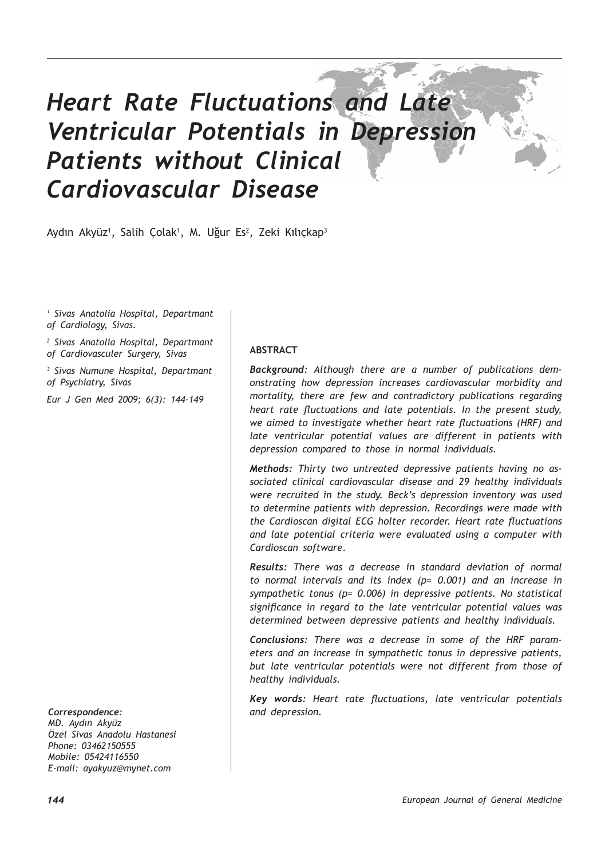# *Heart Rate Fluctuations and Late Ventricular Potentials in Depression Patients without Clinical Cardiovascular Disease*

Aydın Akyüz<sup>ı</sup>, Salih Çolak<sup>ı</sup>, M. Uğur Es<sup>2</sup>, Zeki Kılıçkap<sup>3</sup>

*1 Sivas Anatolia Hospital, Departmant of Cardiology, Sivas.*

*2 Sivas Anatolia Hospital, Departmant of Cardiovasculer Surgery, Sivas*

*3 Sivas Numune Hospital, Departmant of Psychiatry, Sivas*

*Eur J Gen Med 2009; 6(3): 144-149*

*Correspondence:*

*MD. Aydın Akyüz Özel Sivas Anadolu Hastanesi Phone: 03462150555 Mobile: 05424116550 E-mail: ayakyuz@mynet.com*

#### **ABSTRACT**

*Background: Although there are a number of publications demonstrating how depression increases cardiovascular morbidity and mortality, there are few and contradictory publications regarding heart rate fluctuations and late potentials. In the present study, we aimed to investigate whether heart rate fluctuations (HRF) and late ventricular potential values are different in patients with depression compared to those in normal individuals.*

*Methods: Thirty two untreated depressive patients having no associated clinical cardiovascular disease and 29 healthy individuals were recruited in the study. Beck's depression inventory was used to determine patients with depression. Recordings were made with the Cardioscan digital ECG holter recorder. Heart rate fluctuations and late potential criteria were evaluated using a computer with Cardioscan software.* 

*Results: There was a decrease in standard deviation of normal to normal intervals and its index (p= 0.001) and an increase in sympathetic tonus (p= 0.006) in depressive patients. No statistical significance in regard to the late ventricular potential values was determined between depressive patients and healthy individuals.* 

*Conclusions: There was a decrease in some of the HRF parameters and an increase in sympathetic tonus in depressive patients, but late ventricular potentials were not different from those of healthy individuals.*

*Key words: Heart rate fluctuations, late ventricular potentials and depression.*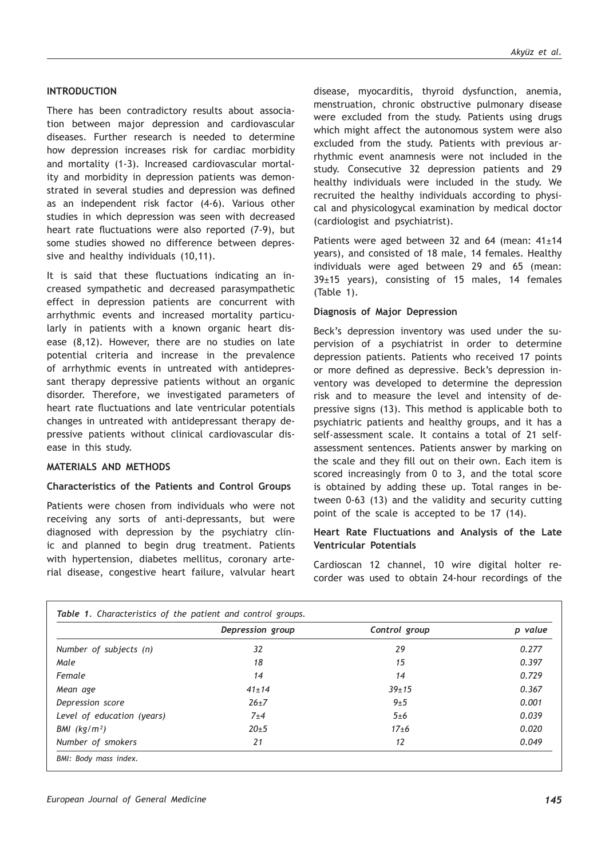#### **INTRODUCTION**

There has been contradictory results about association between major depression and cardiovascular diseases. Further research is needed to determine how depression increases risk for cardiac morbidity and mortality (1-3). Increased cardiovascular mortality and morbidity in depression patients was demonstrated in several studies and depression was defined as an independent risk factor (4-6). Various other studies in which depression was seen with decreased heart rate fluctuations were also reported (7-9), but some studies showed no difference between depressive and healthy individuals (10,11).

It is said that these fluctuations indicating an increased sympathetic and decreased parasympathetic effect in depression patients are concurrent with arrhythmic events and increased mortality particularly in patients with a known organic heart disease (8,12). However, there are no studies on late potential criteria and increase in the prevalence of arrhythmic events in untreated with antidepressant therapy depressive patients without an organic disorder. Therefore, we investigated parameters of heart rate fluctuations and late ventricular potentials changes in untreated with antidepressant therapy depressive patients without clinical cardiovascular disease in this study.

## **MATERIALS AND METHODS**

#### **Characteristics of the Patients and Control Groups**

Patients were chosen from individuals who were not receiving any sorts of anti-depressants, but were diagnosed with depression by the psychiatry clinic and planned to begin drug treatment. Patients with hypertension, diabetes mellitus, coronary arterial disease, congestive heart failure, valvular heart disease, myocarditis, thyroid dysfunction, anemia, menstruation, chronic obstructive pulmonary disease were excluded from the study. Patients using drugs which might affect the autonomous system were also excluded from the study. Patients with previous arrhythmic event anamnesis were not included in the study. Consecutive 32 depression patients and 29 healthy individuals were included in the study. We recruited the healthy individuals according to physical and physicologycal examination by medical doctor (cardiologist and psychiatrist).

Patients were aged between 32 and 64 (mean:  $41±14$ years), and consisted of 18 male, 14 females. Healthy individuals were aged between 29 and 65 (mean: 39±15 years), consisting of 15 males, 14 females (Table 1).

#### **Diagnosis of Major Depression**

Beck's depression inventory was used under the supervision of a psychiatrist in order to determine depression patients. Patients who received 17 points or more defined as depressive. Beck's depression inventory was developed to determine the depression risk and to measure the level and intensity of depressive signs (13). This method is applicable both to psychiatric patients and healthy groups, and it has a self-assessment scale. It contains a total of 21 selfassessment sentences. Patients answer by marking on the scale and they fill out on their own. Each item is scored increasingly from 0 to 3, and the total score is obtained by adding these up. Total ranges in between 0-63 (13) and the validity and security cutting point of the scale is accepted to be 17 (14).

#### **Heart Rate Fluctuations and Analysis of the Late Ventricular Potentials**

Cardioscan 12 channel, 10 wire digital holter recorder was used to obtain 24-hour recordings of the

|                            | Depression group | Control group | p value |
|----------------------------|------------------|---------------|---------|
| Number of subjects (n)     | 32               | 29            | 0.277   |
| Male                       | 18               | 15            | 0.397   |
| Female                     | 14               | 14            | 0.729   |
| Mean age                   | $41 \pm 14$      | $39 + 15$     | 0.367   |
| Depression score           | $26 + 7$         | 9±5           | 0.001   |
| Level of education (years) | 7±4              | 5±6           | 0.039   |
| BMI (kg/m <sup>2</sup> )   | $20 + 5$         | $17\pm 6$     | 0.020   |
| Number of smokers          | 21               | 12            | 0.049   |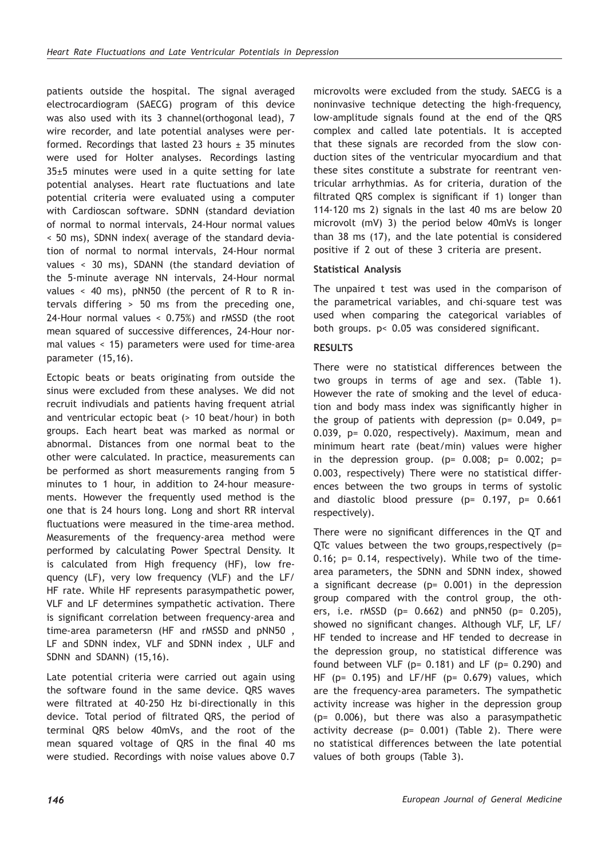patients outside the hospital. The signal averaged electrocardiogram (SAECG) program of this device was also used with its 3 channel(orthogonal lead), 7 wire recorder, and late potential analyses were performed. Recordings that lasted 23 hours  $\pm$  35 minutes were used for Holter analyses. Recordings lasting 35±5 minutes were used in a quite setting for late potential analyses. Heart rate fluctuations and late potential criteria were evaluated using a computer with Cardioscan software. SDNN (standard deviation of normal to normal intervals, 24-Hour normal values < 50 ms), SDNN index( average of the standard deviation of normal to normal intervals, 24-Hour normal values < 30 ms), SDANN (the standard deviation of the 5-minute average NN intervals, 24-Hour normal values < 40 ms), pNN50 (the percent of R to R intervals differing > 50 ms from the preceding one, 24-Hour normal values < 0.75%) and rMSSD (the root mean squared of successive differences, 24-Hour normal values < 15) parameters were used for time-area parameter (15,16).

Ectopic beats or beats originating from outside the sinus were excluded from these analyses. We did not recruit indivudials and patients having frequent atrial and ventricular ectopic beat (> 10 beat/hour) in both groups. Each heart beat was marked as normal or abnormal. Distances from one normal beat to the other were calculated. In practice, measurements can be performed as short measurements ranging from 5 minutes to 1 hour, in addition to 24-hour measurements. However the frequently used method is the one that is 24 hours long. Long and short RR interval fluctuations were measured in the time-area method. Measurements of the frequency-area method were performed by calculating Power Spectral Density. It is calculated from High frequency (HF), low frequency (LF), very low frequency (VLF) and the LF/ HF rate. While HF represents parasympathetic power, VLF and LF determines sympathetic activation. There is significant correlation between frequency-area and time-area parametersn (HF and rMSSD and pNN50 , LF and SDNN index, VLF and SDNN index , ULF and SDNN and SDANN) (15,16).

Late potential criteria were carried out again using the software found in the same device. QRS waves were filtrated at 40-250 Hz bi-directionally in this device. Total period of filtrated QRS, the period of terminal QRS below 40mVs, and the root of the mean squared voltage of QRS in the final 40 ms were studied. Recordings with noise values above 0.7 microvolts were excluded from the study. SAECG is a noninvasive technique detecting the high-frequency, low-amplitude signals found at the end of the QRS complex and called late potentials. It is accepted that these signals are recorded from the slow conduction sites of the ventricular myocardium and that these sites constitute a substrate for reentrant ventricular arrhythmias. As for criteria, duration of the filtrated QRS complex is significant if 1) longer than 114-120 ms 2) signals in the last 40 ms are below 20 microvolt (mV) 3) the period below 40mVs is longer than 38 ms (17), and the late potential is considered positive if 2 out of these 3 criteria are present.

# **Statistical Analysis**

The unpaired t test was used in the comparison of the parametrical variables, and chi-square test was used when comparing the categorical variables of both groups. p< 0.05 was considered significant.

# **RESULTS**

There were no statistical differences between the two groups in terms of age and sex. (Table 1). However the rate of smoking and the level of education and body mass index was significantly higher in the group of patients with depression ( $p= 0.049$ ,  $p=$ 0.039, p= 0.020, respectively). Maximum, mean and minimum heart rate (beat/min) values were higher in the depression group. ( $p= 0.008$ ;  $p= 0.002$ ;  $p=$ 0.003, respectively) There were no statistical differences between the two groups in terms of systolic and diastolic blood pressure (p= 0.197, p= 0.661 respectively).

There were no significant differences in the QT and QTc values between the two groups,respectively (p= 0.16; p= 0.14, respectively). While two of the timearea parameters, the SDNN and SDNN index, showed a significant decrease ( $p= 0.001$ ) in the depression group compared with the control group, the others, i.e. rMSSD (p= 0.662) and pNN50 (p= 0.205), showed no significant changes. Although VLF, LF, LF/ HF tended to increase and HF tended to decrease in the depression group, no statistical difference was found between VLF ( $p= 0.181$ ) and LF ( $p= 0.290$ ) and HF ( $p= 0.195$ ) and LF/HF ( $p= 0.679$ ) values, which are the frequency-area parameters. The sympathetic activity increase was higher in the depression group (p= 0.006), but there was also a parasympathetic activity decrease (p= 0.001) (Table 2). There were no statistical differences between the late potential values of both groups (Table 3).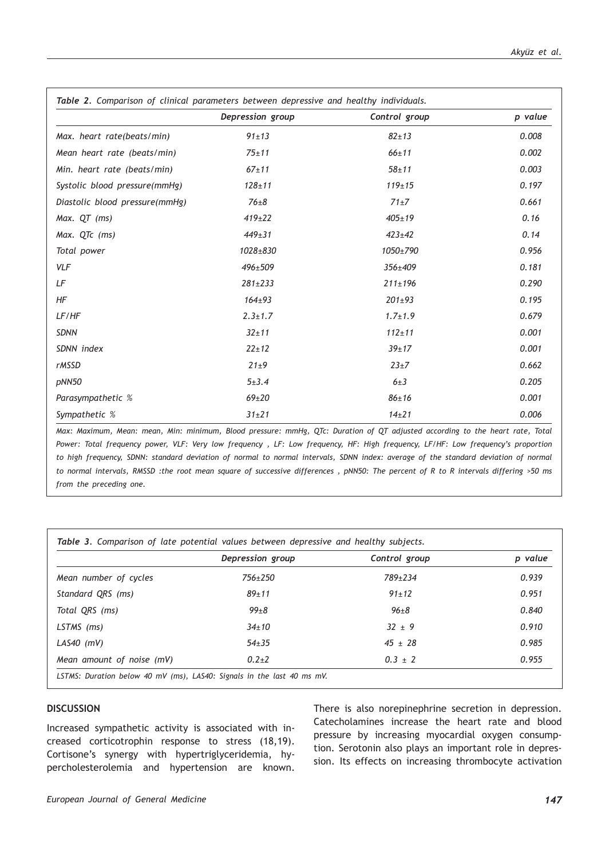|                                | Depression group | Control group | p value |
|--------------------------------|------------------|---------------|---------|
| Max. heart rate(beats/min)     | $91 \pm 13$      | $82 + 13$     | 0.008   |
| Mean heart rate (beats/min)    | $75 + 11$        | $66 + 11$     | 0.002   |
| Min. heart rate (beats/min)    | $67 + 11$        | $58 + 11$     | 0.003   |
| Systolic blood pressure(mmHg)  | $128 + 11$       | $119 + 15$    | 0.197   |
| Diastolic blood pressure(mmHg) | $76\pm8$         | $71+7$        | 0.661   |
| Max. QT (ms)                   | $419 \pm 22$     | $405 \pm 19$  | 0.16    |
| Max. QTc (ms)                  | $449 \pm 31$     | $423 \pm 42$  | 0.14    |
| Total power                    | 1028±830         | 1050±790      | 0.956   |
| <b>VLF</b>                     | 496±509          | 356±409       | 0.181   |
| LF                             | $281 \pm 233$    | $211 \pm 196$ | 0.290   |
| HF                             | $164 + 93$       | $201 \pm 93$  | 0.195   |
| LF/HF                          | $2.3 \pm 1.7$    | $1.7 \pm 1.9$ | 0.679   |
| <b>SDNN</b>                    | $32 + 11$        | $112 + 11$    | 0.001   |
| SDNN index                     | $22 + 12$        | $39 + 17$     | 0.001   |
| <b>rMSSD</b>                   | $21\pm9$         | $23 + 7$      | 0.662   |
| pNN50                          | $5 + 3.4$        | $6\pm3$       | 0.205   |
| Parasympathetic %              | $69+20$          | $86 + 16$     | 0.001   |
| Sympathetic %                  | $31 + 21$        | $14 + 21$     | 0.006   |

*Max: Maximum, Mean: mean, Min: minimum, Blood pressure: mmHg, QTc: Duration of QT adjusted according to the heart rate, Total Power: Total frequency power, VLF: Very low frequency , LF: Low frequency, HF: High frequency, LF/HF: Low frequency's proportion to high frequency, SDNN: standard deviation of normal to normal intervals, SDNN index: average of the standard deviation of normal to normal intervals, RMSSD :the root mean square of successive differences , pNN50: The percent of R to R intervals differing >50 ms from the preceding one.*

|                           | Depression group | Control group | p value |
|---------------------------|------------------|---------------|---------|
| Mean number of cycles     | $756 + 250$      | 789+234       | 0.939   |
| Standard QRS (ms)         | $89 + 11$        | $91 \pm 12$   | 0.951   |
| Total QRS (ms)            | $99 + 8$         | $96 + 8$      | 0.840   |
| LSTMS (ms)                | $34 + 10$        | $32 \pm 9$    | 0.910   |
| LAS40 $(mV)$              | $54 + 35$        | $45 \pm 28$   | 0.985   |
| Mean amount of noise (mV) | $0.2 + 2$        | $0.3 \pm 2$   | 0.955   |

## **DISCUSSION**

Increased sympathetic activity is associated with increased corticotrophin response to stress (18,19). Cortisone's synergy with hypertriglyceridemia, hypercholesterolemia and hypertension are known. There is also norepinephrine secretion in depression. Catecholamines increase the heart rate and blood pressure by increasing myocardial oxygen consumption. Serotonin also plays an important role in depression. Its effects on increasing thrombocyte activation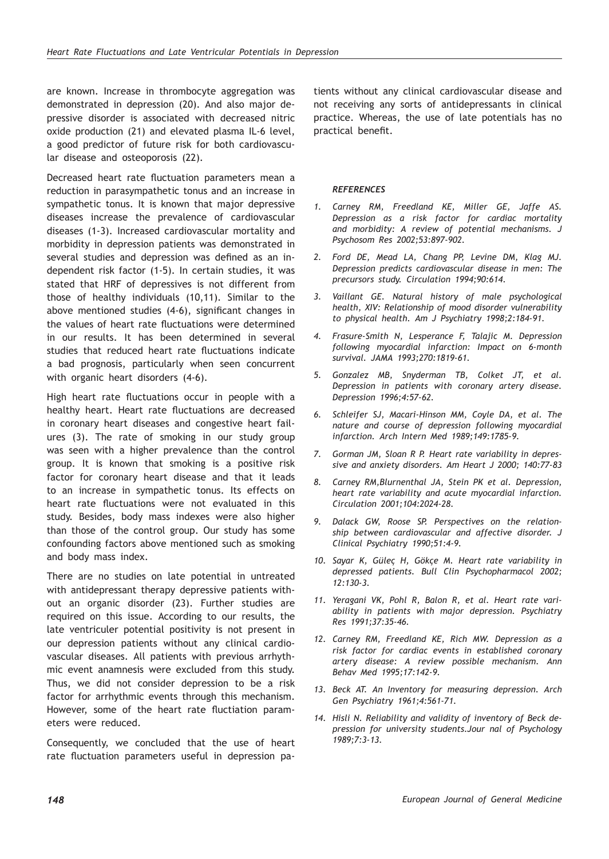are known. Increase in thrombocyte aggregation was demonstrated in depression (20). And also major depressive disorder is associated with decreased nitric oxide production (21) and elevated plasma IL-6 level, a good predictor of future risk for both cardiovascular disease and osteoporosis (22).

Decreased heart rate fluctuation parameters mean a reduction in parasympathetic tonus and an increase in sympathetic tonus. It is known that major depressive diseases increase the prevalence of cardiovascular diseases (1-3). Increased cardiovascular mortality and morbidity in depression patients was demonstrated in several studies and depression was defined as an independent risk factor (1-5). In certain studies, it was stated that HRF of depressives is not different from those of healthy individuals (10,11). Similar to the above mentioned studies (4-6), significant changes in the values of heart rate fluctuations were determined in our results. It has been determined in several studies that reduced heart rate fluctuations indicate a bad prognosis, particularly when seen concurrent with organic heart disorders (4-6).

High heart rate fluctuations occur in people with a healthy heart. Heart rate fluctuations are decreased in coronary heart diseases and congestive heart failures (3). The rate of smoking in our study group was seen with a higher prevalence than the control group. It is known that smoking is a positive risk factor for coronary heart disease and that it leads to an increase in sympathetic tonus. Its effects on heart rate fluctuations were not evaluated in this study. Besides, body mass indexes were also higher than those of the control group. Our study has some confounding factors above mentioned such as smoking and body mass index.

There are no studies on late potential in untreated with antidepressant therapy depressive patients without an organic disorder (23). Further studies are required on this issue. According to our results, the late ventriculer potential positivity is not present in our depression patients without any clinical cardiovascular diseases. All patients with previous arrhythmic event anamnesis were excluded from this study. Thus, we did not consider depression to be a risk factor for arrhythmic events through this mechanism. However, some of the heart rate fluctiation parameters were reduced.

Consequently, we concluded that the use of heart rate fluctuation parameters useful in depression pa-

tients without any clinical cardiovascular disease and not receiving any sorts of antidepressants in clinical practice. Whereas, the use of late potentials has no practical benefit.

### *REFERENCES*

- *1. Carney RM, Freedland KE, Miller GE, Jaffe AS. Depression as a risk factor for cardiac mortality and morbidity: A review of potential mechanisms. J Psychosom Res 2002;53:897-902.*
- *2. Ford DE, Mead LA, Chang PP, Levine DM, Klag MJ. Depression predicts cardiovascular disease in men: The precursors study. Circulation 1994;90:614.*
- *3. Vaillant GE. Natural history of male psychological health, XIV: Relationship of mood disorder vulnerability to physical health. Am J Psychiatry 1998;2:184-91.*
- *4. Frasure-Smith N, Lesperance F, Talajic M. Depression following myocardial infarction: Impact on 6-month survival. JAMA 1993;270:1819-61.*
- *5. Gonzalez MB, Snyderman TB, Colket JT, et al. Depression in patients with coronary artery disease. Depression 1996;4:57-62.*
- *6. Schleifer SJ, Macari-Hinson MM, Coyle DA, et al. The nature and course of depression following myocardial infarction. Arch Intern Med 1989;149:1785-9.*
- *7. Gorman JM, Sloan R P. Heart rate variability in depressive and anxiety disorders. Am Heart J 2000; 140:77-83*
- *8. Carney RM,Blurnenthal JA, Stein PK et al. Depression, heart rate variability and acute myocardial infarction. Circulation 2001;104:2024-28.*
- *9. Dalack GW, Roose SP. Perspectives on the relationship between cardiovascular and affective disorder. J Clinical Psychiatry 1990;51:4-9.*
- *10. Sayar K, Güleç H, Gökçe M. Heart rate variability in depressed patients. Bull Clin Psychopharmacol 2002; 12:130-3.*
- *11. Yeragani VK, Pohl R, Balon R, et al. Heart rate variability in patients with major depression. Psychiatry Res 1991;37:35-46.*
- *12. Carney RM, Freedland KE, Rich MW. Depression as a risk factor for cardiac events in established coronary artery disease: A review possible mechanism. Ann Behav Med 1995;17:142-9.*
- *13. Beck AT. An Inventory for measuring depression. Arch Gen Psychiatry 1961;4:561-71.*
- *14. Hisli N. Reliability and validity of inventory of Beck depression for university students.Jour nal of Psychology 1989;7:3-13.*